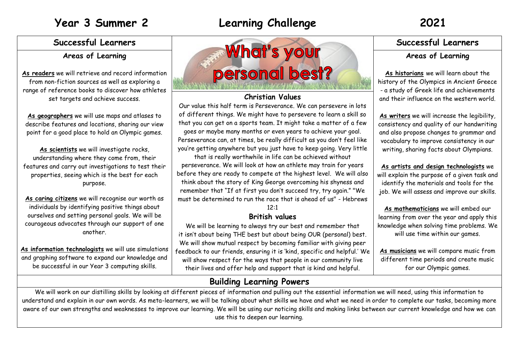## **Areas of Learning**

**As readers** we will retrieve and record information from non-fiction sources as well as exploring a range of reference books to discover how athletes set targets and achieve success.

**As geographers** we will use maps and atlases to describe features and locations, sharing our view point for a good place to hold an Olympic games.

As scientists we will investigate rocks, understanding where they come from, their features and carry out investigations to test their properties, seeing which is the best for each purpose.

**As caring citizens** we will recognise our worth as individuals by identifying positive things about ourselves and setting personal goals. We will be courageous advocates through our support of one another.

**As information technologists** we will use simulations and graphing software to expand our knowledge and be successful in our Year 3 computing skills.



## **Christian Values**

Our value this half term is Perseverance. We can persevere in lots of different things. We might have to persevere to learn a skill so that you can get on a sports team. It might take a matter of a few goes or maybe many months or even years to achieve your goal. Perseverance can, at times, be really difficult as you don't feel like you're getting anywhere but you just have to keep going. Very little

that is really worthwhile in life can be achieved without perseverance. We will look at how an athlete may train for years before they are ready to compete at the highest level. We will also think about the story of King George overcoming his shyness and remember that "If at first you don't succeed try, try again." "We must be determined to run the race that is ahead of us" - Hebrews

 $12:1$ 

## **British values**

We will be learning to always try our best and remember that it isn't about being THE best but about being OUR (personal) best. We will show mutual respect by becoming familiar with giving peer feedback to our friends, ensuring it is 'kind, specific and helpful.' We will show respect for the ways that people in our community live their lives and offer help and support that is kind and helpful.

## **Areas of Learning**

**As historians** we will learn about the history of the Olympics in Ancient Greece - a study of Greek life and achievements and their influence on the western world.

**As writers** we will increase the legibility, consistency and quality of our handwriting and also propose changes to grammar and vocabulary to improve consistency in our writing, sharing facts about Olympians.

**As artists and design technologists** we will explain the purpose of a given task and identify the materials and tools for the job. We will assess and improve our skills.

**As mathematicians** we will embed our learning from over the year and apply this knowledge when solving time problems. We will use time within our games.

**As musicians** we will compare music from different time periods and create music for our Olympic games.

## **Building Learning Powers**

We will work on our distilling skills by looking at different pieces of information and pulling out the essential information we will need, using this information to understand and explain in our own words. As meta-learners, we will be talking about what skills we have and what we need in order to complete our tasks, becoming more aware of our own strengths and weaknesses to improve our learning. We will be using our noticing skills and making links between our current knowledge and how we can use this to deepen our learning.